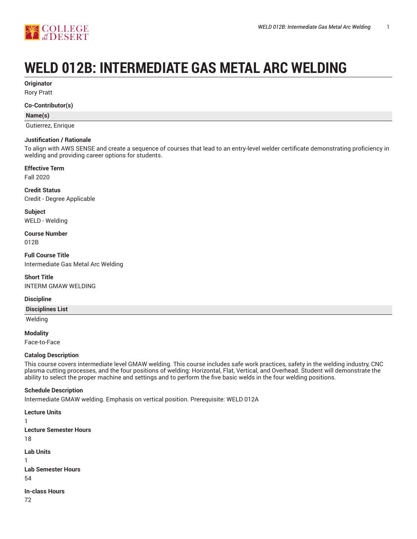

# **WELD 012B: INTERMEDIATE GAS METAL ARC WELDING**

**Originator**

Rory Pratt

#### **Co-Contributor(s)**

#### **Name(s)**

Gutierrez, Enrique

#### **Justification / Rationale**

To align with AWS SENSE and create a sequence of courses that lead to an entry-level welder certificate demonstrating proficiency in welding and providing career options for students.

## **Effective Term**

Fall 2020

**Credit Status** Credit - Degree Applicable

**Subject** WELD - Welding

**Course Number** 012B

**Full Course Title** Intermediate Gas Metal Arc Welding

**Short Title** INTERM GMAW WELDING

#### **Discipline**

**Disciplines List**

Welding

**Modality**

Face-to-Face

#### **Catalog Description**

This course covers intermediate level GMAW welding. This course includes safe work practices, safety in the welding industry, CNC plasma cutting processes, and the four positions of welding: Horizontal, Flat, Vertical, and Overhead. Student will demonstrate the ability to select the proper machine and settings and to perform the five basic welds in the four welding positions.

#### **Schedule Description**

Intermediate GMAW welding. Emphasis on vertical position. Prerequisite: WELD 012A

**Lecture Units** 1 **Lecture Semester Hours** 18 **Lab Units** 1 **Lab Semester Hours** 54 **In-class Hours** 72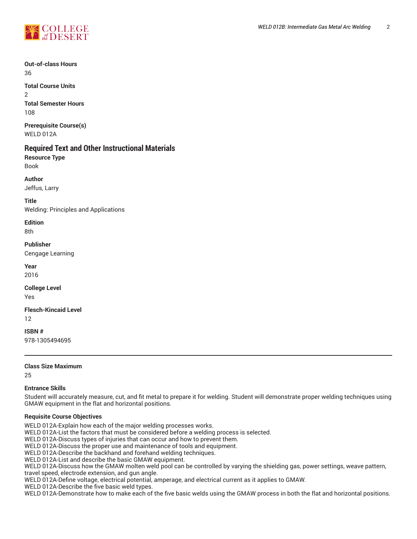

**Out-of-class Hours** 36

**Total Course Units**  $\mathfrak{p}$ **Total Semester Hours** 108

**Prerequisite Course(s)** WELD 012A

## **Required Text and Other Instructional Materials**

**Resource Type** Book

**Author**

Jeffus, Larry

**Title**

Welding: Principles and Applications

**Edition** 8th

**Publisher**

Cengage Learning

**Year**

2016

**College Level**

Yes

**Flesch-Kincaid Level** 12

**ISBN #**

978-1305494695

**Class Size Maximum**

25

#### **Entrance Skills**

Student will accurately measure, cut, and fit metal to prepare it for welding. Student will demonstrate proper welding techniques using GMAW equipment in the flat and horizontal positions.

#### **Requisite Course Objectives**

WELD 012A-Explain how each of the major welding processes works.

WELD 012A-List the factors that must be considered before a welding process is selected.

WELD 012A-Discuss types of injuries that can occur and how to prevent them.

WELD 012A-Discuss the proper use and maintenance of tools and equipment.

WELD 012A-Describe the backhand and forehand welding techniques.

WELD 012A-List and describe the basic GMAW equipment.

WELD 012A-Discuss how the GMAW molten weld pool can be controlled by varying the shielding gas, power settings, weave pattern, travel speed, electrode extension, and gun angle.

WELD 012A-Define voltage, electrical potential, amperage, and electrical current as it applies to GMAW.

WELD 012A-Describe the five basic weld types.

WELD 012A-Demonstrate how to make each of the five basic welds using the GMAW process in both the flat and horizontal positions.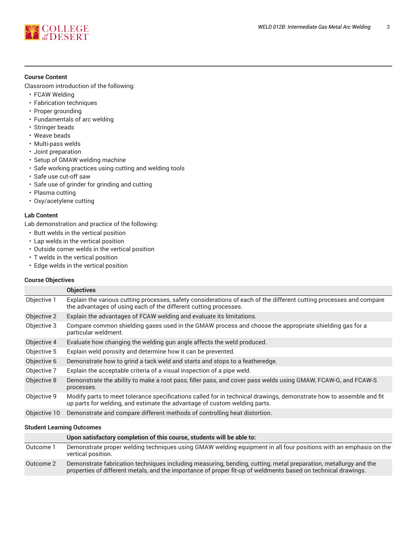

#### **Course Content**

Classroom introduction of the following:

- FCAW Welding
- Fabrication techniques
- Proper grounding
- Fundamentals of arc welding
- Stringer beads
- Weave beads
- Multi-pass welds
- Joint preparation
- Setup of GMAW welding machine
- Safe working practices using cutting and welding tools
- Safe use cut-off saw
- Safe use of grinder for grinding and cutting
- Plasma cutting
- Oxy/acetylene cutting

#### **Lab Content**

Lab demonstration and practice of the following:

- Butt welds in the vertical position
- Lap welds in the vertical position
- Outside corner welds in the vertical position
- T welds in the vertical position
- Edge welds in the vertical position

#### **Course Objectives**

|              | <b>Objectives</b>                                                                                                                                                                                |  |
|--------------|--------------------------------------------------------------------------------------------------------------------------------------------------------------------------------------------------|--|
| Objective 1  | Explain the various cutting processes, safety considerations of each of the different cutting processes and compare<br>the advantages of using each of the different cutting processes.          |  |
| Objective 2  | Explain the advantages of FCAW welding and evaluate its limitations.                                                                                                                             |  |
| Objective 3  | Compare common shielding gases used in the GMAW process and choose the appropriate shielding gas for a<br>particular weldment.                                                                   |  |
| Objective 4  | Evaluate how changing the welding gun angle affects the weld produced.                                                                                                                           |  |
| Objective 5  | Explain weld porosity and determine how it can be prevented.                                                                                                                                     |  |
| Objective 6  | Demonstrate how to grind a tack weld and starts and stops to a featheredge.                                                                                                                      |  |
| Objective 7  | Explain the acceptable criteria of a visual inspection of a pipe weld.                                                                                                                           |  |
| Objective 8  | Demonstrate the ability to make a root pass, filler pass, and cover pass welds using GMAW, FCAW-G, and FCAW-S<br>processes.                                                                      |  |
| Objective 9  | Modify parts to meet tolerance specifications called for in technical drawings, demonstrate how to assemble and fit<br>up parts for welding, and estimate the advantage of custom welding parts. |  |
| Objective 10 | Demonstrate and compare different methods of controlling heat distortion.                                                                                                                        |  |

#### **Student Learning Outcomes**

|           | Upon satisfactory completion of this course, students will be able to:                                                                                                                                                           |
|-----------|----------------------------------------------------------------------------------------------------------------------------------------------------------------------------------------------------------------------------------|
| Outcome 1 | Demonstrate proper welding techniques using GMAW welding equipment in all four positions with an emphasis on the<br>vertical position.                                                                                           |
| Outcome 2 | Demonstrate fabrication techniques including measuring, bending, cutting, metal preparation, metallurgy and the<br>properties of different metals, and the importance of proper fit-up of weldments based on technical drawings. |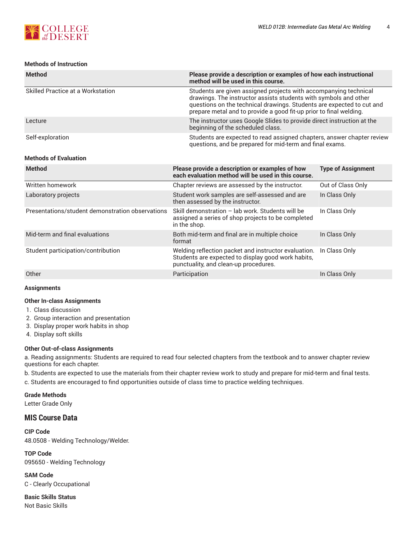

#### **Methods of Instruction**

| <b>Method</b>                                    | Please provide a description or examples of how each instructional<br>method will be used in this course.                                                                                                                                                                           |                           |  |  |  |
|--------------------------------------------------|-------------------------------------------------------------------------------------------------------------------------------------------------------------------------------------------------------------------------------------------------------------------------------------|---------------------------|--|--|--|
| Skilled Practice at a Workstation                | Students are given assigned projects with accompanying technical<br>drawings. The instructor assists students with symbols and other<br>questions on the technical drawings. Students are expected to cut and<br>prepare metal and to provide a good fit-up prior to final welding. |                           |  |  |  |
| Lecture                                          | The instructor uses Google Slides to provide direct instruction at the<br>beginning of the scheduled class.                                                                                                                                                                         |                           |  |  |  |
| Self-exploration                                 | Students are expected to read assigned chapters, answer chapter review<br>questions, and be prepared for mid-term and final exams.                                                                                                                                                  |                           |  |  |  |
| <b>Methods of Evaluation</b>                     |                                                                                                                                                                                                                                                                                     |                           |  |  |  |
| <b>Method</b>                                    | Please provide a description or examples of how<br>each evaluation method will be used in this course.                                                                                                                                                                              | <b>Type of Assignment</b> |  |  |  |
| Written homework                                 | Chapter reviews are assessed by the instructor.                                                                                                                                                                                                                                     | Out of Class Only         |  |  |  |
| Laboratory projects                              | Student work samples are self-assessed and are<br>then assessed by the instructor.                                                                                                                                                                                                  | In Class Only             |  |  |  |
| Presentations/student demonstration observations | Skill demonstration - lab work. Students will be<br>assigned a series of shop projects to be completed<br>in the shop.                                                                                                                                                              | In Class Only             |  |  |  |
| Mid-term and final evaluations                   | Both mid-term and final are in multiple choice<br>format                                                                                                                                                                                                                            | In Class Only             |  |  |  |
| Student participation/contribution               | Welding reflection packet and instructor evaluation.<br>Students are expected to display good work habits,<br>punctuality, and clean-up procedures.                                                                                                                                 | In Class Only             |  |  |  |
| Other                                            | Participation                                                                                                                                                                                                                                                                       | In Class Only             |  |  |  |

#### **Assignments**

#### **Other In-class Assignments**

- 1. Class discussion
- 2. Group interaction and presentation
- 3. Display proper work habits in shop
- 4. Display soft skills

#### **Other Out-of-class Assignments**

a. Reading assignments: Students are required to read four selected chapters from the textbook and to answer chapter review questions for each chapter.

b. Students are expected to use the materials from their chapter review work to study and prepare for mid-term and final tests.

c. Students are encouraged to find opportunities outside of class time to practice welding techniques.

**Grade Methods**

Letter Grade Only

### **MIS Course Data**

**CIP Code** 48.0508 - Welding Technology/Welder.

**TOP Code** 095650 - Welding Technology

**SAM Code** C - Clearly Occupational

**Basic Skills Status** Not Basic Skills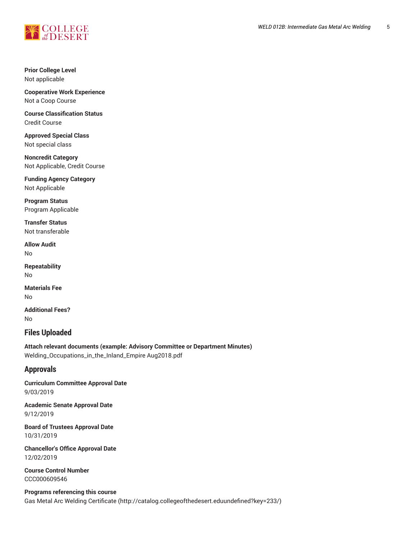

#### **Prior College Level** Not applicable

**Cooperative Work Experience** Not a Coop Course

**Course Classification Status** Credit Course

**Approved Special Class** Not special class

**Noncredit Category** Not Applicable, Credit Course

**Funding Agency Category** Not Applicable

**Program Status** Program Applicable

**Transfer Status** Not transferable

**Allow Audit** No

**Repeatability** No

**Materials Fee** No

**Additional Fees?** No

# **Files Uploaded**

**Attach relevant documents (example: Advisory Committee or Department Minutes)** Welding\_Occupations\_in\_the\_Inland\_Empire Aug2018.pdf

# **Approvals**

**Curriculum Committee Approval Date** 9/03/2019

**Academic Senate Approval Date** 9/12/2019

**Board of Trustees Approval Date** 10/31/2019

**Chancellor's Office Approval Date** 12/02/2019

**Course Control Number** CCC000609546

**Programs referencing this course** Gas Metal Arc Welding [Certificate](http://catalog.collegeofthedesert.eduundefined?key=233/) [\(http://catalog.collegeofthedesert.eduundefined?key=233/](http://catalog.collegeofthedesert.eduundefined?key=233/))